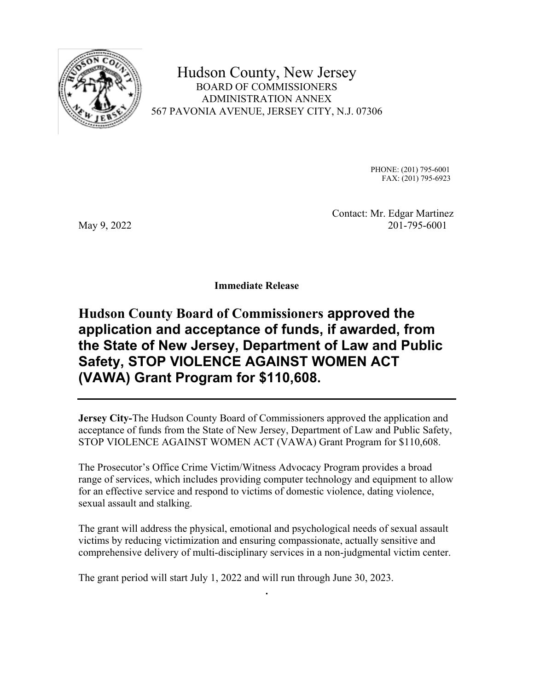

Hudson County, New Jersey BOARD OF COMMISSIONERS ADMINISTRATION ANNEX 567 PAVONIA AVENUE, JERSEY CITY, N.J. 07306

> PHONE: (201) 795-6001 FAX: (201) 795-6923

 Contact: Mr. Edgar Martinez May 9, 2022 201-795-6001

**Immediate Release** 

## **Hudson County Board of Commissioners approved the application and acceptance of funds, if awarded, from the State of New Jersey, Department of Law and Public Safety, STOP VIOLENCE AGAINST WOMEN ACT (VAWA) Grant Program for \$110,608.**

**Jersey City-**The Hudson County Board of Commissioners approved the application and acceptance of funds from the State of New Jersey, Department of Law and Public Safety, STOP VIOLENCE AGAINST WOMEN ACT (VAWA) Grant Program for \$110,608.

The Prosecutor's Office Crime Victim/Witness Advocacy Program provides a broad range of services, which includes providing computer technology and equipment to allow for an effective service and respond to victims of domestic violence, dating violence, sexual assault and stalking.

The grant will address the physical, emotional and psychological needs of sexual assault victims by reducing victimization and ensuring compassionate, actually sensitive and comprehensive delivery of multi-disciplinary services in a non-judgmental victim center.

**.** 

The grant period will start July 1, 2022 and will run through June 30, 2023.